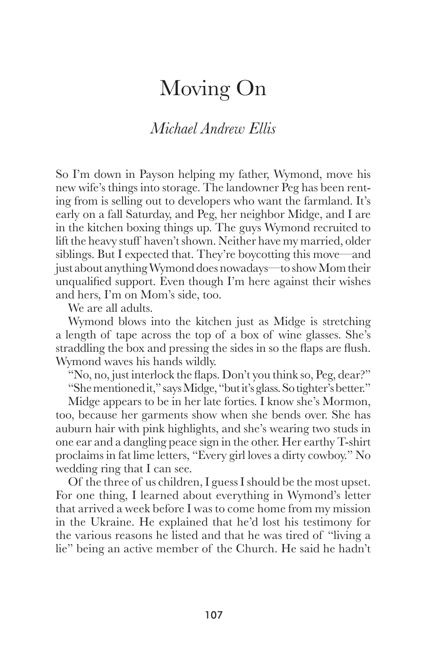## Moving On

## *Michael Andrew Ellis*

So I'm down in Payson helping my father, Wymond, move his new wife's things into storage. The landowner Peg has been renting from is selling out to developers who want the farmland. It's early on a fall Saturday, and Peg, her neighbor Midge, and I are in the kitchen boxing things up. The guys Wymond recruited to lift the heavy stuff haven't shown. Neither have my married, older siblings. But I expected that. They're boycotting this move—and just about anything Wymond does nowadays—to show Mom their unqualified support. Even though I'm here against their wishes and hers, I'm on Mom's side, too.

We are all adults.

 Wymond blows into the kitchen just as Midge is stretching a length of tape across the top of a box of wine glasses. She's straddling the box and pressing the sides in so the flaps are flush. Wymond waves his hands wildly.

"No, no, just interlock the flaps. Don't you think so, Peg, dear?"

"She mentioned it," says Midge, "but it's glass. So tighter's better."

 Midge appears to be in her late forties. I know she's Mormon, too, because her garments show when she bends over. She has auburn hair with pink highlights, and she's wearing two studs in one ear and a dangling peace sign in the other. Her earthy T-shirt proclaims in fat lime letters, "Every girl loves a dirty cowboy." No wedding ring that I can see.

 Of the three of us children, I guess I should be the most upset. For one thing, I learned about everything in Wymond's letter that arrived a week before I was to come home from my mission in the Ukraine. He explained that he'd lost his testimony for the various reasons he listed and that he was tired of "living a lie" being an active member of the Church. He said he hadn't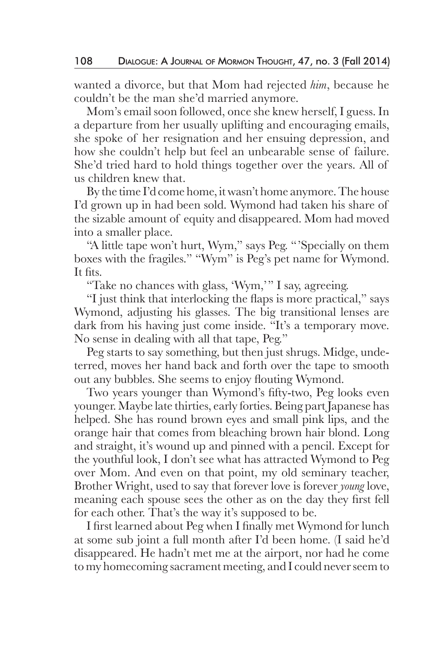wanted a divorce, but that Mom had rejected *him*, because he couldn't be the man she'd married anymore.

 Mom's email soon followed, once she knew herself, I guess. In a departure from her usually uplifting and encouraging emails, she spoke of her resignation and her ensuing depression, and how she couldn't help but feel an unbearable sense of failure. She'd tried hard to hold things together over the years. All of us children knew that.

 By the time I'd come home, it wasn't home anymore. The house I'd grown up in had been sold. Wymond had taken his share of the sizable amount of equity and disappeared. Mom had moved into a smaller place.

 "A little tape won't hurt, Wym," says Peg. "'Specially on them boxes with the fragiles." "Wym" is Peg's pet name for Wymond. It fits.

"Take no chances with glass, 'Wym,'" I say, agreeing.

 "I just think that interlocking the flaps is more practical," says Wymond, adjusting his glasses. The big transitional lenses are dark from his having just come inside. "It's a temporary move. No sense in dealing with all that tape, Peg."

 Peg starts to say something, but then just shrugs. Midge, undeterred, moves her hand back and forth over the tape to smooth out any bubbles. She seems to enjoy flouting Wymond.

 Two years younger than Wymond's fifty-two, Peg looks even younger. Maybe late thirties, early forties. Being part Japanese has helped. She has round brown eyes and small pink lips, and the orange hair that comes from bleaching brown hair blond. Long and straight, it's wound up and pinned with a pencil. Except for the youthful look, I don't see what has attracted Wymond to Peg over Mom. And even on that point, my old seminary teacher, Brother Wright, used to say that forever love is forever *young* love, meaning each spouse sees the other as on the day they first fell for each other. That's the way it's supposed to be.

 I first learned about Peg when I finally met Wymond for lunch at some sub joint a full month after I'd been home. (I said he'd disappeared. He hadn't met me at the airport, nor had he come to my homecoming sacrament meeting, and I could never seem to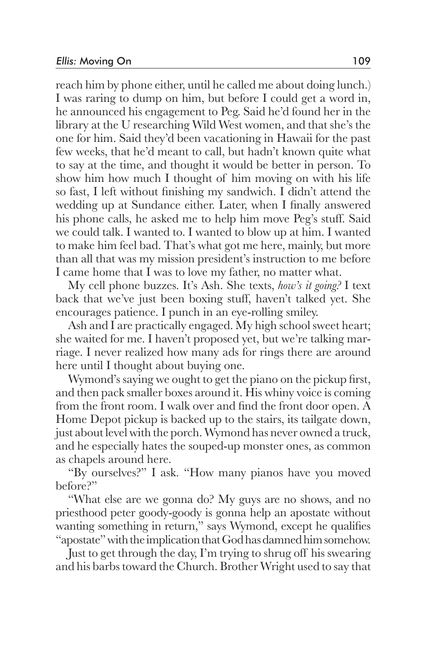reach him by phone either, until he called me about doing lunch.) I was raring to dump on him, but before I could get a word in, he announced his engagement to Peg. Said he'd found her in the library at the U researching Wild West women, and that she's the one for him. Said they'd been vacationing in Hawaii for the past few weeks, that he'd meant to call, but hadn't known quite what to say at the time, and thought it would be better in person. To show him how much I thought of him moving on with his life so fast, I left without finishing my sandwich. I didn't attend the wedding up at Sundance either. Later, when I finally answered his phone calls, he asked me to help him move Peg's stuff. Said we could talk. I wanted to. I wanted to blow up at him. I wanted to make him feel bad. That's what got me here, mainly, but more than all that was my mission president's instruction to me before I came home that I was to love my father, no matter what.

 My cell phone buzzes. It's Ash. She texts, *how's it going?* I text back that we've just been boxing stuff, haven't talked yet. She encourages patience. I punch in an eye-rolling smiley.

 Ash and I are practically engaged. My high school sweet heart; she waited for me. I haven't proposed yet, but we're talking marriage. I never realized how many ads for rings there are around here until I thought about buying one.

 Wymond's saying we ought to get the piano on the pickup first, and then pack smaller boxes around it. His whiny voice is coming from the front room. I walk over and find the front door open. A Home Depot pickup is backed up to the stairs, its tailgate down, just about level with the porch. Wymond has never owned a truck, and he especially hates the souped-up monster ones, as common as chapels around here.

 "By ourselves?" I ask. "How many pianos have you moved before?"

 "What else are we gonna do? My guys are no shows, and no priesthood peter goody-goody is gonna help an apostate without wanting something in return," says Wymond, except he qualifies "apostate" with the implication that God has damned him somehow.

 Just to get through the day, I'm trying to shrug off his swearing and his barbs toward the Church. Brother Wright used to say that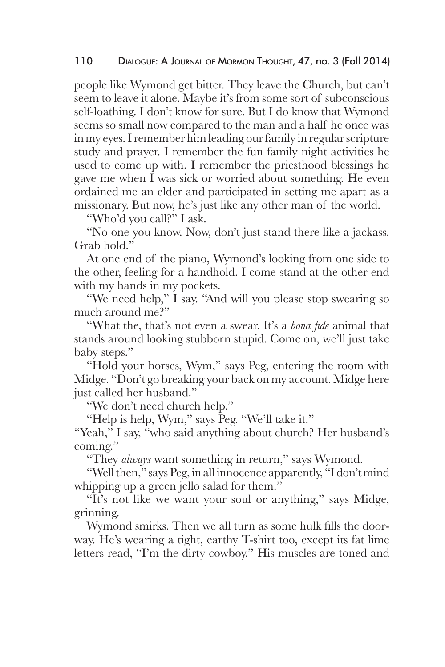people like Wymond get bitter. They leave the Church, but can't seem to leave it alone. Maybe it's from some sort of subconscious self-loathing. I don't know for sure. But I do know that Wymond seems so small now compared to the man and a half he once was in my eyes. I remember him leading our family in regular scripture study and prayer. I remember the fun family night activities he used to come up with. I remember the priesthood blessings he gave me when I was sick or worried about something. He even ordained me an elder and participated in setting me apart as a missionary. But now, he's just like any other man of the world.

"Who'd you call?" I ask.

 "No one you know. Now, don't just stand there like a jackass. Grab hold."

 At one end of the piano, Wymond's looking from one side to the other, feeling for a handhold. I come stand at the other end with my hands in my pockets.

 "We need help," I say. "And will you please stop swearing so much around me?"

 "What the, that's not even a swear. It's a *bona fide* animal that stands around looking stubborn stupid. Come on, we'll just take baby steps."

 "Hold your horses, Wym," says Peg, entering the room with Midge. "Don't go breaking your back on my account. Midge here just called her husband."

"We don't need church help."

"Help is help, Wym," says Peg. "We'll take it."

"Yeah," I say, "who said anything about church? Her husband's coming."

"They *always* want something in return," says Wymond.

 "Well then," says Peg, in all innocence apparently, "I don't mind whipping up a green jello salad for them."

 "It's not like we want your soul or anything," says Midge, grinning.

 Wymond smirks. Then we all turn as some hulk fills the doorway. He's wearing a tight, earthy T-shirt too, except its fat lime letters read, "I'm the dirty cowboy." His muscles are toned and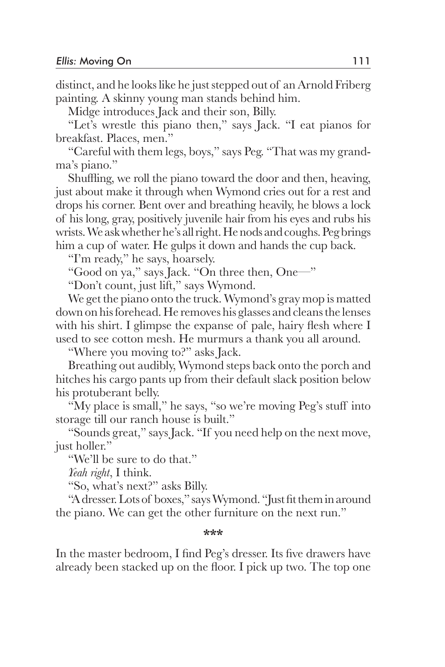distinct, and he looks like he just stepped out of an Arnold Friberg painting. A skinny young man stands behind him.

Midge introduces Jack and their son, Billy.

 "Let's wrestle this piano then," says Jack. "I eat pianos for breakfast. Places, men."

 "Careful with them legs, boys," says Peg. "That was my grandma's piano."

 Shuffling, we roll the piano toward the door and then, heaving, just about make it through when Wymond cries out for a rest and drops his corner. Bent over and breathing heavily, he blows a lock of his long, gray, positively juvenile hair from his eyes and rubs his wrists. We ask whether he's all right. He nods and coughs. Peg brings him a cup of water. He gulps it down and hands the cup back.

"I'm ready," he says, hoarsely.

"Good on ya," says Jack. "On three then, One—"

"Don't count, just lift," says Wymond.

 We get the piano onto the truck. Wymond's gray mop is matted down on his forehead. He removes his glasses and cleans the lenses with his shirt. I glimpse the expanse of pale, hairy flesh where I used to see cotton mesh. He murmurs a thank you all around.

"Where you moving to?" asks Jack.

 Breathing out audibly, Wymond steps back onto the porch and hitches his cargo pants up from their default slack position below his protuberant belly.

 "My place is small," he says, "so we're moving Peg's stuff into storage till our ranch house is built."

 "Sounds great," says Jack. "If you need help on the next move, just holler."

"We'll be sure to do that."

*Yeah right*, I think.

"So, what's next?" asks Billy.

 "A dresser. Lots of boxes," says Wymond. "Just fit them in around the piano. We can get the other furniture on the next run."

**\*\*\***

In the master bedroom, I find Peg's dresser. Its five drawers have already been stacked up on the floor. I pick up two. The top one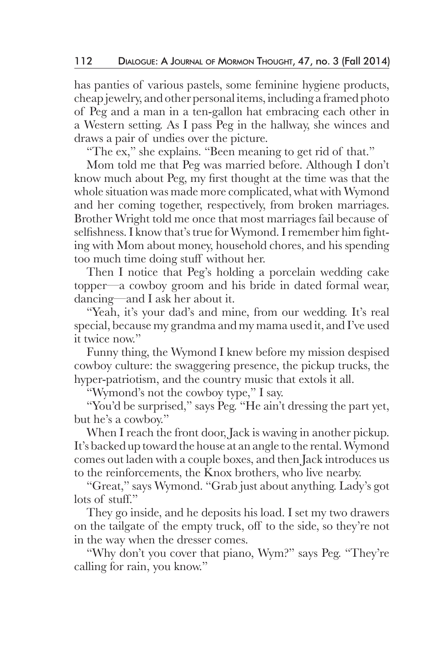has panties of various pastels, some feminine hygiene products, cheap jewelry, and other personal items, including a framed photo of Peg and a man in a ten-gallon hat embracing each other in a Western setting. As I pass Peg in the hallway, she winces and draws a pair of undies over the picture.

"The ex," she explains. "Been meaning to get rid of that."

 Mom told me that Peg was married before. Although I don't know much about Peg, my first thought at the time was that the whole situation was made more complicated, what with Wymond and her coming together, respectively, from broken marriages. Brother Wright told me once that most marriages fail because of selfishness. I know that's true for Wymond. I remember him fighting with Mom about money, household chores, and his spending too much time doing stuff without her.

 Then I notice that Peg's holding a porcelain wedding cake topper—a cowboy groom and his bride in dated formal wear, dancing—and I ask her about it.

 "Yeah, it's your dad's and mine, from our wedding. It's real special, because my grandma and my mama used it, and I've used it twice now."

 Funny thing, the Wymond I knew before my mission despised cowboy culture: the swaggering presence, the pickup trucks, the hyper-patriotism, and the country music that extols it all.

"Wymond's not the cowboy type," I say.

 "You'd be surprised," says Peg. "He ain't dressing the part yet, but he's a cowboy."

 When I reach the front door, Jack is waving in another pickup. It's backed up toward the house at an angle to the rental. Wymond comes out laden with a couple boxes, and then Jack introduces us to the reinforcements, the Knox brothers, who live nearby.

 "Great," says Wymond. "Grab just about anything. Lady's got lots of stuff."

 They go inside, and he deposits his load. I set my two drawers on the tailgate of the empty truck, off to the side, so they're not in the way when the dresser comes.

 "Why don't you cover that piano, Wym?" says Peg. "They're calling for rain, you know."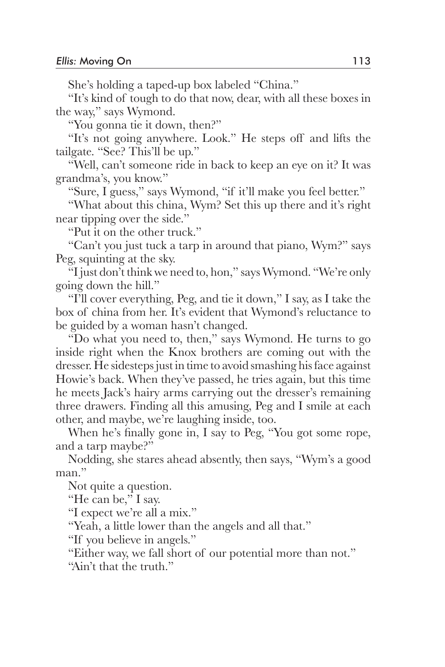She's holding a taped-up box labeled "China."

 "It's kind of tough to do that now, dear, with all these boxes in the way," says Wymond.

"You gonna tie it down, then?"

 "It's not going anywhere. Look." He steps off and lifts the tailgate. "See? This'll be up."

 "Well, can't someone ride in back to keep an eye on it? It was grandma's, you know."

"Sure, I guess," says Wymond, "if it'll make you feel better."

 "What about this china, Wym? Set this up there and it's right near tipping over the side."

"Put it on the other truck."

 "Can't you just tuck a tarp in around that piano, Wym?" says Peg, squinting at the sky.

 "I just don't think we need to, hon," says Wymond. "We're only going down the hill."

 "I'll cover everything, Peg, and tie it down," I say, as I take the box of china from her. It's evident that Wymond's reluctance to be guided by a woman hasn't changed.

 "Do what you need to, then," says Wymond. He turns to go inside right when the Knox brothers are coming out with the dresser. He sidesteps just in time to avoid smashing his face against Howie's back. When they've passed, he tries again, but this time he meets Jack's hairy arms carrying out the dresser's remaining three drawers. Finding all this amusing, Peg and I smile at each other, and maybe, we're laughing inside, too.

 When he's finally gone in, I say to Peg, "You got some rope, and a tarp maybe?"

 Nodding, she stares ahead absently, then says, "Wym's a good man."

Not quite a question.

"He can be," I say.

"I expect we're all a mix."

"Yeah, a little lower than the angels and all that."

"If you believe in angels."

"Either way, we fall short of our potential more than not."

"Ain't that the truth."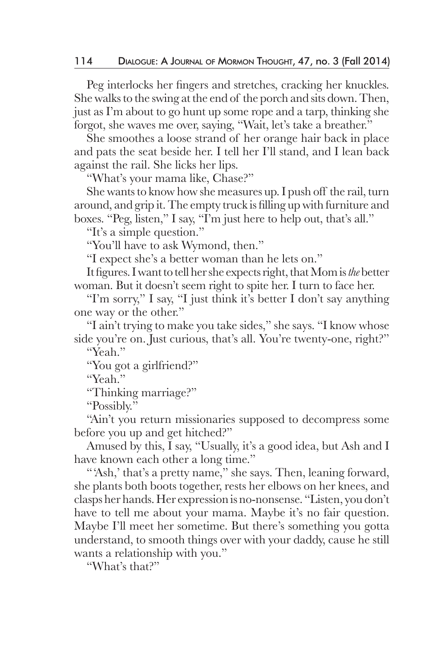Peg interlocks her fingers and stretches, cracking her knuckles. She walks to the swing at the end of the porch and sits down. Then, just as I'm about to go hunt up some rope and a tarp, thinking she forgot, she waves me over, saying, "Wait, let's take a breather."

 She smoothes a loose strand of her orange hair back in place and pats the seat beside her. I tell her I'll stand, and I lean back against the rail. She licks her lips.

"What's your mama like, Chase?"

 She wants to know how she measures up. I push off the rail, turn around, and grip it. The empty truck is filling up with furniture and boxes. "Peg, listen," I say, "I'm just here to help out, that's all."

"It's a simple question."

"You'll have to ask Wymond, then."

"I expect she's a better woman than he lets on."

 It figures. I want to tell her she expects right, that Mom is *the* better woman. But it doesn't seem right to spite her. I turn to face her.

 "I'm sorry," I say, "I just think it's better I don't say anything one way or the other."

 "I ain't trying to make you take sides," she says. "I know whose side you're on. Just curious, that's all. You're twenty-one, right?"

"Yeah."

"You got a girlfriend?"

"Yeah."

"Thinking marriage?"

"Possibly."

 "Ain't you return missionaries supposed to decompress some before you up and get hitched?"

 Amused by this, I say, "Usually, it's a good idea, but Ash and I have known each other a long time."

"Ash,' that's a pretty name," she says. Then, leaning forward, she plants both boots together, rests her elbows on her knees, and clasps her hands. Her expression is no-nonsense. "Listen, you don't have to tell me about your mama. Maybe it's no fair question. Maybe I'll meet her sometime. But there's something you gotta understand, to smooth things over with your daddy, cause he still wants a relationship with you."

"What's that?"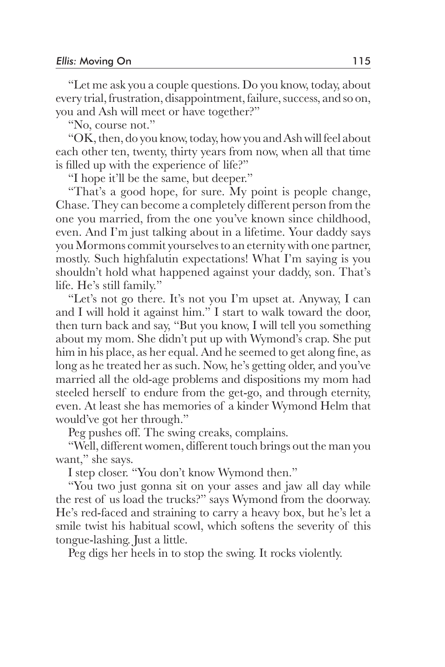"Let me ask you a couple questions. Do you know, today, about every trial, frustration, disappointment, failure, success, and so on, you and Ash will meet or have together?"

"No, course not."

 "OK, then, do you know, today, how you and Ash will feel about each other ten, twenty, thirty years from now, when all that time is filled up with the experience of life?"

"I hope it'll be the same, but deeper."

 "That's a good hope, for sure. My point is people change, Chase. They can become a completely different person from the one you married, from the one you've known since childhood, even. And I'm just talking about in a lifetime. Your daddy says you Mormons commit yourselves to an eternity with one partner, mostly. Such highfalutin expectations! What I'm saying is you shouldn't hold what happened against your daddy, son. That's life. He's still family."

 "Let's not go there. It's not you I'm upset at. Anyway, I can and I will hold it against him." I start to walk toward the door, then turn back and say, "But you know, I will tell you something about my mom. She didn't put up with Wymond's crap. She put him in his place, as her equal. And he seemed to get along fine, as long as he treated her as such. Now, he's getting older, and you've married all the old-age problems and dispositions my mom had steeled herself to endure from the get-go, and through eternity, even. At least she has memories of a kinder Wymond Helm that would've got her through."

Peg pushes off. The swing creaks, complains.

 "Well, different women, different touch brings out the man you want," she says.

I step closer. "You don't know Wymond then."

 "You two just gonna sit on your asses and jaw all day while the rest of us load the trucks?" says Wymond from the doorway. He's red-faced and straining to carry a heavy box, but he's let a smile twist his habitual scowl, which softens the severity of this tongue-lashing. Just a little.

Peg digs her heels in to stop the swing. It rocks violently.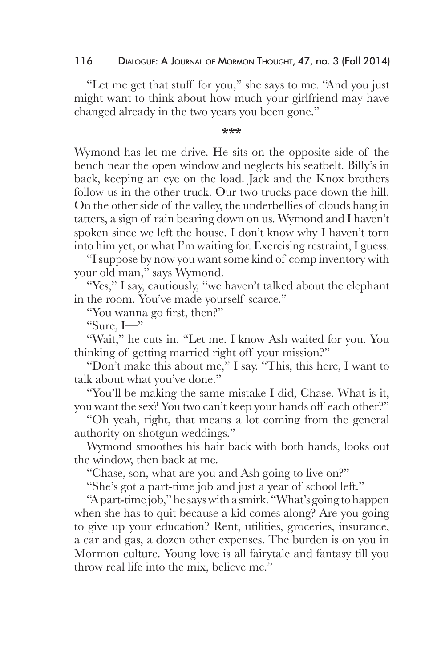"Let me get that stuff for you," she says to me. "And you just might want to think about how much your girlfriend may have changed already in the two years you been gone."

## **\*\*\***

Wymond has let me drive. He sits on the opposite side of the bench near the open window and neglects his seatbelt. Billy's in back, keeping an eye on the load. Jack and the Knox brothers follow us in the other truck. Our two trucks pace down the hill. On the other side of the valley, the underbellies of clouds hang in tatters, a sign of rain bearing down on us. Wymond and I haven't spoken since we left the house. I don't know why I haven't torn into him yet, or what I'm waiting for. Exercising restraint, I guess.

 "I suppose by now you want some kind of comp inventory with your old man," says Wymond.

"Yes," I say, cautiously, "we haven't talked about the elephant in the room. You've made yourself scarce."

"You wanna go first, then?"

"Sure,  $I$ —"

 "Wait," he cuts in. "Let me. I know Ash waited for you. You thinking of getting married right off your mission?"

 "Don't make this about me," I say. "This, this here, I want to talk about what you've done."

 "You'll be making the same mistake I did, Chase. What is it, you want the sex? You two can't keep your hands off each other?"

 "Oh yeah, right, that means a lot coming from the general authority on shotgun weddings."

 Wymond smoothes his hair back with both hands, looks out the window, then back at me.

"Chase, son, what are you and Ash going to live on?"

"She's got a part-time job and just a year of school left."

 "A part-time job," he says with a smirk. "What's going to happen when she has to quit because a kid comes along? Are you going to give up your education? Rent, utilities, groceries, insurance, a car and gas, a dozen other expenses. The burden is on you in Mormon culture. Young love is all fairytale and fantasy till you throw real life into the mix, believe me."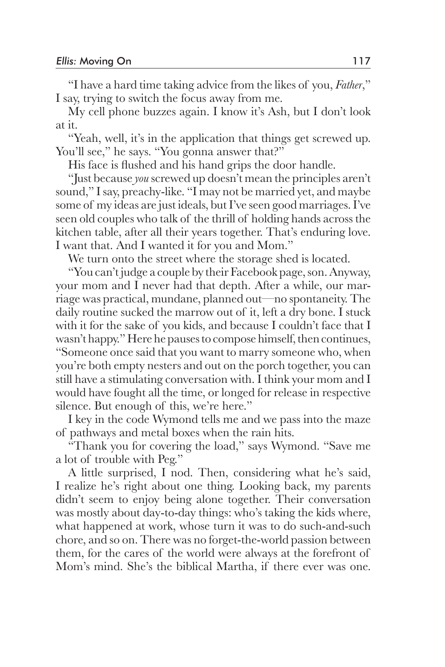"I have a hard time taking advice from the likes of you, *Father*," I say, trying to switch the focus away from me.

 My cell phone buzzes again. I know it's Ash, but I don't look at it.

 "Yeah, well, it's in the application that things get screwed up. You'll see," he says. "You gonna answer that?"

His face is flushed and his hand grips the door handle.

 "Just because *you* screwed up doesn't mean the principles aren't sound," I say, preachy-like. "I may not be married yet, and maybe some of my ideas are just ideals, but I've seen good marriages. I've seen old couples who talk of the thrill of holding hands across the kitchen table, after all their years together. That's enduring love. I want that. And I wanted it for you and Mom."

We turn onto the street where the storage shed is located.

 "You can't judge a couple by their Facebook page, son. Anyway, your mom and I never had that depth. After a while, our marriage was practical, mundane, planned out—no spontaneity. The daily routine sucked the marrow out of it, left a dry bone. I stuck with it for the sake of you kids, and because I couldn't face that I wasn't happy." Here he pauses to compose himself, then continues, "Someone once said that you want to marry someone who, when you're both empty nesters and out on the porch together, you can still have a stimulating conversation with. I think your mom and I would have fought all the time, or longed for release in respective silence. But enough of this, we're here."

 I key in the code Wymond tells me and we pass into the maze of pathways and metal boxes when the rain hits.

 "Thank you for covering the load," says Wymond. "Save me a lot of trouble with Peg."

 A little surprised, I nod. Then, considering what he's said, I realize he's right about one thing. Looking back, my parents didn't seem to enjoy being alone together. Their conversation was mostly about day-to-day things: who's taking the kids where, what happened at work, whose turn it was to do such-and-such chore, and so on. There was no forget-the-world passion between them, for the cares of the world were always at the forefront of Mom's mind. She's the biblical Martha, if there ever was one.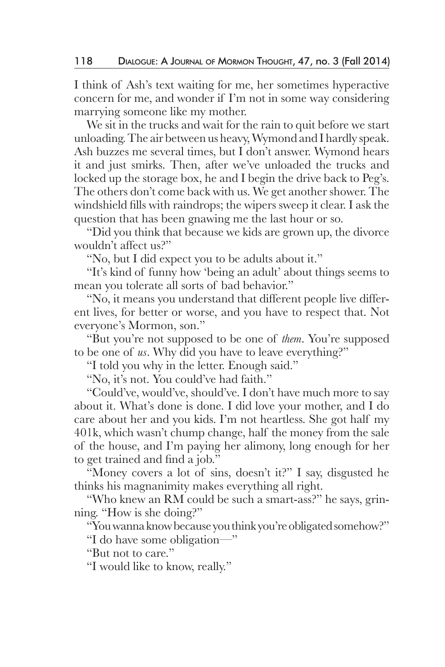I think of Ash's text waiting for me, her sometimes hyperactive concern for me, and wonder if I'm not in some way considering marrying someone like my mother.

 We sit in the trucks and wait for the rain to quit before we start unloading. The air between us heavy, Wymond and I hardly speak. Ash buzzes me several times, but I don't answer. Wymond hears it and just smirks. Then, after we've unloaded the trucks and locked up the storage box, he and I begin the drive back to Peg's. The others don't come back with us. We get another shower. The windshield fills with raindrops; the wipers sweep it clear. I ask the question that has been gnawing me the last hour or so.

 "Did you think that because we kids are grown up, the divorce wouldn't affect us?"

"No, but I did expect you to be adults about it."

 "It's kind of funny how 'being an adult' about things seems to mean you tolerate all sorts of bad behavior."

 "No, it means you understand that different people live different lives, for better or worse, and you have to respect that. Not everyone's Mormon, son."

 "But you're not supposed to be one of *them*. You're supposed to be one of *us*. Why did you have to leave everything?"

"I told you why in the letter. Enough said."

"No, it's not. You could've had faith."

 "Could've, would've, should've. I don't have much more to say about it. What's done is done. I did love your mother, and I do care about her and you kids. I'm not heartless. She got half my 401k, which wasn't chump change, half the money from the sale of the house, and I'm paying her alimony, long enough for her to get trained and find a job."

 "Money covers a lot of sins, doesn't it?" I say, disgusted he thinks his magnanimity makes everything all right.

 "Who knew an RM could be such a smart-ass?" he says, grinning. "How is she doing?"

"You wanna know because you think you're obligated somehow?"

"I do have some obligation—"

"But not to care."

"I would like to know, really."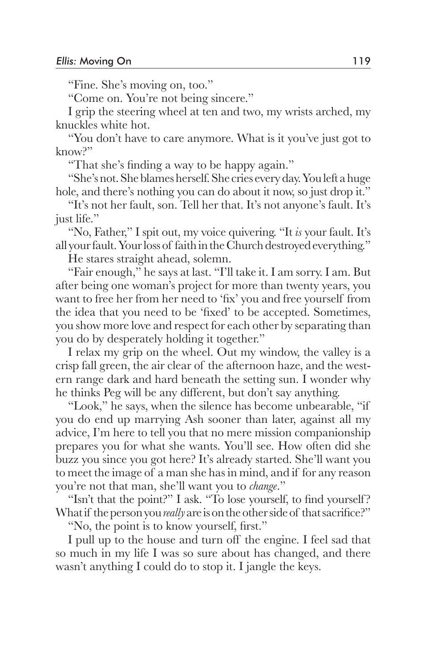"Fine. She's moving on, too."

"Come on. You're not being sincere."

 I grip the steering wheel at ten and two, my wrists arched, my knuckles white hot.

 "You don't have to care anymore. What is it you've just got to  $k$ now<sup> $p$ </sup>

"That she's finding a way to be happy again."

 "She's not. She blames herself. She cries every day. You left a huge hole, and there's nothing you can do about it now, so just drop it."

 "It's not her fault, son. Tell her that. It's not anyone's fault. It's just life."

 "No, Father," I spit out, my voice quivering. "It *is* your fault. It's all your fault. Your loss of faith in the Church destroyed everything."

He stares straight ahead, solemn.

 "Fair enough," he says at last. "I'll take it. I am sorry. I am. But after being one woman's project for more than twenty years, you want to free her from her need to 'fix' you and free yourself from the idea that you need to be 'fixed' to be accepted. Sometimes, you show more love and respect for each other by separating than you do by desperately holding it together."

 I relax my grip on the wheel. Out my window, the valley is a crisp fall green, the air clear of the afternoon haze, and the western range dark and hard beneath the setting sun. I wonder why he thinks Peg will be any different, but don't say anything.

 "Look," he says, when the silence has become unbearable, "if you do end up marrying Ash sooner than later, against all my advice, I'm here to tell you that no mere mission companionship prepares you for what she wants. You'll see. How often did she buzz you since you got here? It's already started. She'll want you to meet the image of a man she has in mind, and if for any reason you're not that man, she'll want you to *change*."

"Isn't that the point?" I ask. "To lose yourself, to find yourself?" What if the person you *really* are is on the other side of that sacrifice?"

"No, the point is to know yourself, first."

 I pull up to the house and turn off the engine. I feel sad that so much in my life I was so sure about has changed, and there wasn't anything I could do to stop it. I jangle the keys.